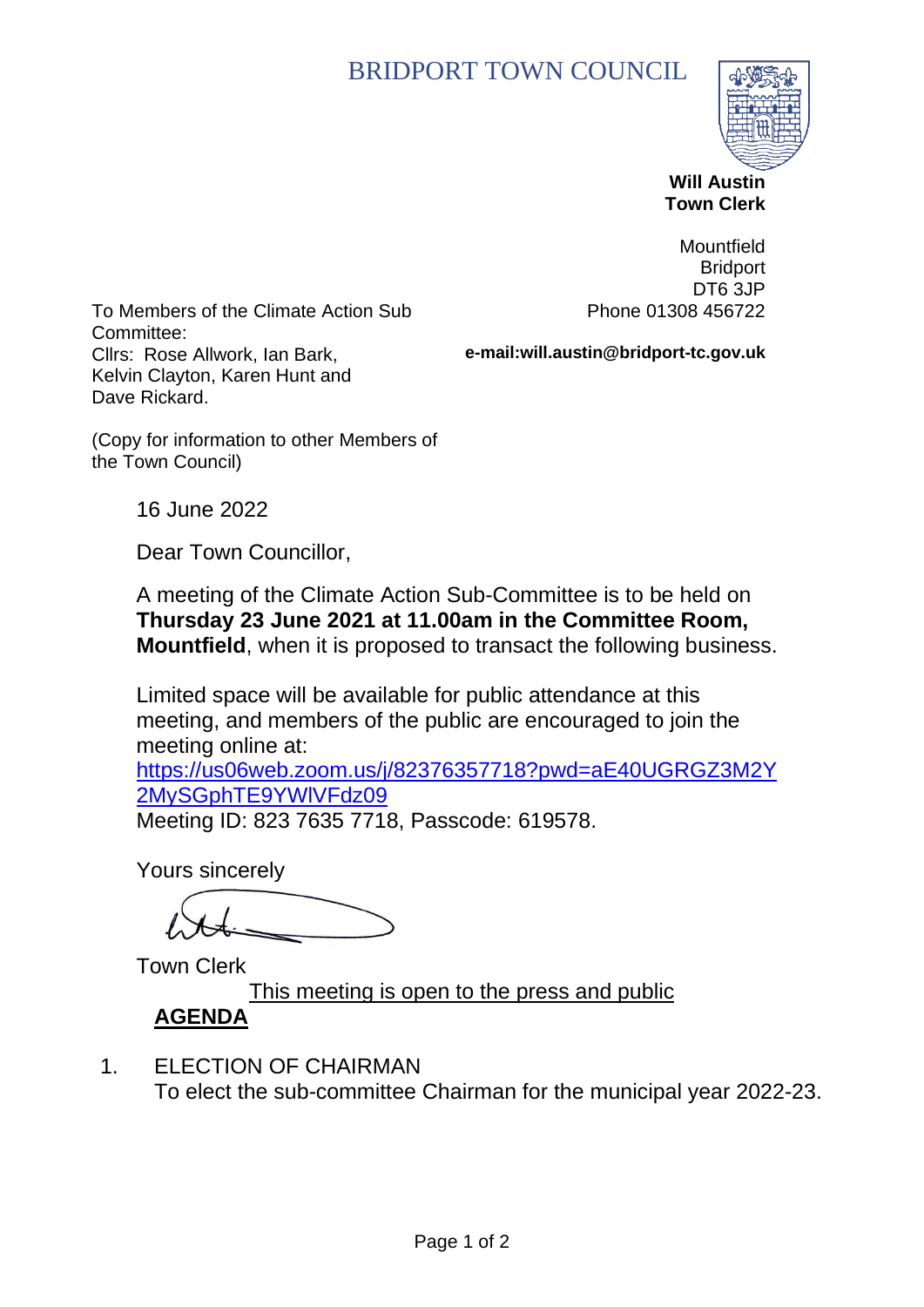# BRIDPORT TOWN COUNCIL



 **Will Austin Town Clerk**

To Members of the Climate Action Sub Committee: Cllrs: Rose Allwork, Ian Bark, Kelvin Clayton, Karen Hunt and Dave Rickard.

Mountfield **Bridport** DT6 3JP Phone 01308 456722

**e-mail:will.austin@bridport-tc.gov.uk**

(Copy for information to other Members of the Town Council)

16 June 2022

Dear Town Councillor,

A meeting of the Climate Action Sub-Committee is to be held on **Thursday 23 June 2021 at 11.00am in the Committee Room, Mountfield**, when it is proposed to transact the following business.

Limited space will be available for public attendance at this meeting, and members of the public are encouraged to join the meeting online at:

[https://us06web.zoom.us/j/82376357718?pwd=aE40UGRGZ3M2Y](https://us06web.zoom.us/j/82376357718?pwd=aE40UGRGZ3M2Y2MySGphTE9YWlVFdz09) [2MySGphTE9YWlVFdz09](https://us06web.zoom.us/j/82376357718?pwd=aE40UGRGZ3M2Y2MySGphTE9YWlVFdz09)

Meeting ID: 823 7635 7718, Passcode: 619578.

Yours sincerely

Town Clerk

This meeting is open to the press and public **AGENDA**

1. ELECTION OF CHAIRMAN To elect the sub-committee Chairman for the municipal year 2022-23.